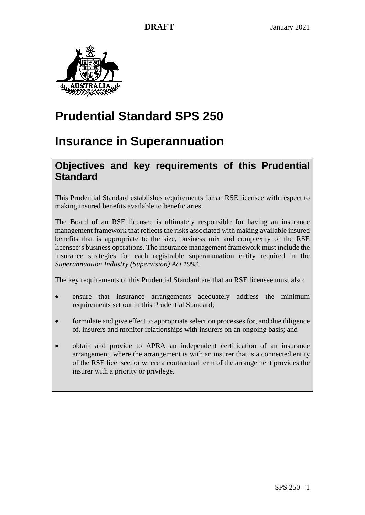

# **Prudential Standard SPS 250**

# **Insurance in Superannuation**

# **Objectives and key requirements of this Prudential Standard**

This Prudential Standard establishes requirements for an RSE licensee with respect to making insured benefits available to beneficiaries.

The Board of an RSE licensee is ultimately responsible for having an insurance management framework that reflects the risks associated with making available insured benefits that is appropriate to the size, business mix and complexity of the RSE licensee's business operations. The insurance management framework must include the insurance strategies for each registrable superannuation entity required in the *Superannuation Industry (Supervision) Act 1993*.

The key requirements of this Prudential Standard are that an RSE licensee must also:

- ensure that insurance arrangements adequately address the minimum requirements set out in this Prudential Standard;
- formulate and give effect to appropriate selection processes for, and due diligence of, insurers and monitor relationships with insurers on an ongoing basis; and
- obtain and provide to APRA an independent certification of an insurance arrangement, where the arrangement is with an insurer that is a connected entity of the RSE licensee, or where a contractual term of the arrangement provides the insurer with a priority or privilege.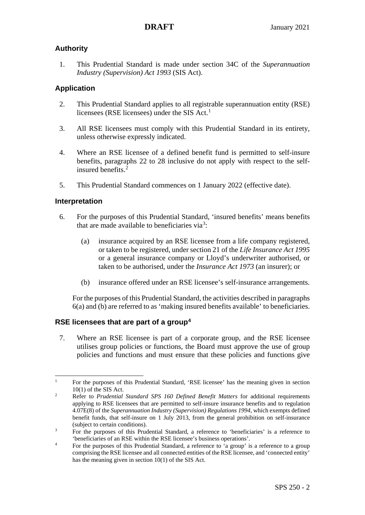# **Authority**

1. This Prudential Standard is made under section 34C of the *Superannuation Industry (Supervision) Act 1993* (SIS Act).

# **Application**

- 2. This Prudential Standard applies to all registrable superannuation entity (RSE) licensees (RSE licensees) under the SIS Act. [1](#page-1-1)
- 3. All RSE licensees must comply with this Prudential Standard in its entirety, unless otherwise expressly indicated.
- 4. Where an RSE licensee of a defined benefit fund is permitted to self-insure benefits, paragraphs 22 to 28 inclusive do not apply with respect to the selfinsured benefits.[2](#page-1-2)
- 5. This Prudential Standard commences on 1 January 2022 (effective date).

# **Interpretation**

- <span id="page-1-0"></span>6. For the purposes of this Prudential Standard, 'insured benefits' means benefits that are made available to beneficiaries via<sup>[3](#page-1-3)</sup>:
	- (a) insurance acquired by an RSE licensee from a life company registered, or taken to be registered, under section 21 of the *Life Insurance Act 1995* or a general insurance company or Lloyd's underwriter authorised, or taken to be authorised, under the *Insurance Act 1973* (an insurer); or
	- (b) insurance offered under an RSE licensee's self-insurance arrangements.

For the purposes of this Prudential Standard, the activities described in paragraphs [6\(](#page-1-0)a) and (b) are referred to as 'making insured benefits available' to beneficiaries.

# **RSE licensees that are part of a group[4](#page-1-4)**

7. Where an RSE licensee is part of a corporate group, and the RSE licensee utilises group policies or functions, the Board must approve the use of group policies and functions and must ensure that these policies and functions give

<span id="page-1-1"></span> $\frac{1}{1}$  For the purposes of this Prudential Standard, 'RSE licensee' has the meaning given in section  $10(1)$  of the SIS Act.

<span id="page-1-2"></span>Refer to *Prudential Standard SPS 160 Defined Benefit Matters* for additional requirements applying to RSE licensees that are permitted to self-insure insurance benefits and to regulation 4.07E(8) of the *Superannuation Industry (Supervision) Regulations 1994*, which exempts defined benefit funds, that self-insure on 1 July 2013, from the general prohibition on self-insurance (subject to certain conditions).

<span id="page-1-3"></span>For the purposes of this Prudential Standard, a reference to 'beneficiaries' is a reference to 'beneficiaries of an RSE within the RSE licensee's business operations'. 4

<span id="page-1-4"></span>For the purposes of this Prudential Standard, a reference to 'a group' is a reference to a group comprising the RSE licensee and all connected entities of the RSE licensee, and 'connected entity' has the meaning given in section 10(1) of the SIS Act.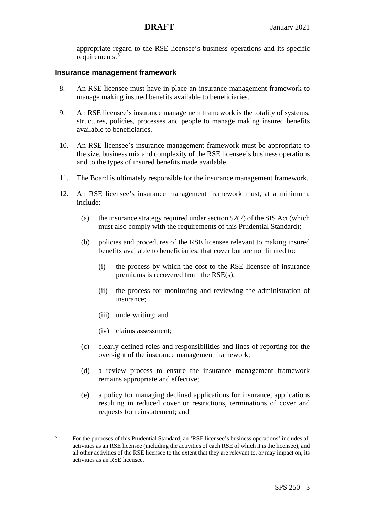appropriate regard to the RSE licensee's business operations and its specific requirements.[5](#page-2-0)

## **Insurance management framework**

- 8. An RSE licensee must have in place an insurance management framework to manage making insured benefits available to beneficiaries.
- 9. An RSE licensee's insurance management framework is the totality of systems, structures, policies, processes and people to manage making insured benefits available to beneficiaries.
- 10. An RSE licensee's insurance management framework must be appropriate to the size, business mix and complexity of the RSE licensee's business operations and to the types of insured benefits made available.
- 11. The Board is ultimately responsible for the insurance management framework.
- 12. An RSE licensee's insurance management framework must, at a minimum, include:
	- (a) the insurance strategy required under section  $52(7)$  of the SIS Act (which must also comply with the requirements of this Prudential Standard);
	- (b) policies and procedures of the RSE licensee relevant to making insured benefits available to beneficiaries, that cover but are not limited to:
		- (i) the process by which the cost to the RSE licensee of insurance premiums is recovered from the RSE(s);
		- (ii) the process for monitoring and reviewing the administration of insurance;
		- (iii) underwriting; and
		- (iv) claims assessment;
	- (c) clearly defined roles and responsibilities and lines of reporting for the oversight of the insurance management framework;
	- (d) a review process to ensure the insurance management framework remains appropriate and effective;
	- (e) a policy for managing declined applications for insurance, applications resulting in reduced cover or restrictions, terminations of cover and requests for reinstatement; and

<span id="page-2-0"></span> 5 For the purposes of this Prudential Standard, an 'RSE licensee's business operations' includes all activities as an RSE licensee (including the activities of each RSE of which it is the licensee), and all other activities of the RSE licensee to the extent that they are relevant to, or may impact on, its activities as an RSE licensee.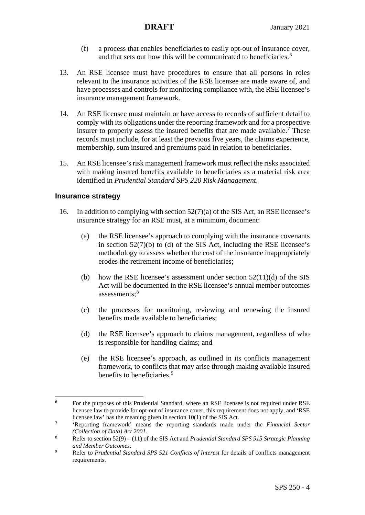- (f) a process that enables beneficiaries to easily opt-out of insurance cover, and that sets out how this will be communicated to beneficiaries. [6](#page-3-0)
- 13. An RSE licensee must have procedures to ensure that all persons in roles relevant to the insurance activities of the RSE licensee are made aware of, and have processes and controls for monitoring compliance with, the RSE licensee's insurance management framework.
- 14. An RSE licensee must maintain or have access to records of sufficient detail to comply with its obligations under the reporting framework and for a prospective insurer to properly assess the insured benefits that are made available.<sup>[7](#page-3-1)</sup> These records must include, for at least the previous five years, the claims experience, membership, sum insured and premiums paid in relation to beneficiaries.
- 15. An RSE licensee's risk management framework must reflect the risks associated with making insured benefits available to beneficiaries as a material risk area identified in *Prudential Standard SPS 220 Risk Management*.

### **Insurance strategy**

- 16. In addition to complying with section 52(7)(a) of the SIS Act, an RSE licensee's insurance strategy for an RSE must, at a minimum, document:
	- (a) the RSE licensee's approach to complying with the insurance covenants in section 52(7)(b) to (d) of the SIS Act, including the RSE licensee's methodology to assess whether the cost of the insurance inappropriately erodes the retirement income of beneficiaries;
	- (b) how the RSE licensee's assessment under section  $52(11)(d)$  of the SIS Act will be documented in the RSE licensee's annual member outcomes assessments; [8](#page-3-2)
	- (c) the processes for monitoring, reviewing and renewing the insured benefits made available to beneficiaries;
	- (d) the RSE licensee's approach to claims management, regardless of who is responsible for handling claims; and
	- (e) the RSE licensee's approach, as outlined in its conflicts management framework, to conflicts that may arise through making available insured benefits to beneficiaries.<sup>[9](#page-3-3)</sup>

<span id="page-3-0"></span><sup>6</sup> For the purposes of this Prudential Standard, where an RSE licensee is not required under RSE licensee law to provide for opt-out of insurance cover, this requirement does not apply, and 'RSE licensee law' has the meaning given in section 10(1) of the SIS Act.

<span id="page-3-1"></span><sup>7</sup> 'Reporting framework' means the reporting standards made under the *Financial Sector (Collection of Data) Act 2001*.

<span id="page-3-2"></span><sup>8</sup> Refer to section 52(9) – (11) of the SIS Act and *Prudential Standard SPS 515 Strategic Planning and Member Outcomes*.

<span id="page-3-3"></span><sup>9</sup> Refer to *Prudential Standard SPS 521 Conflicts of Interest* for details of conflicts management requirements.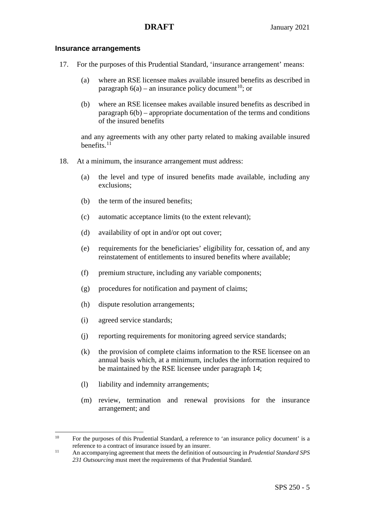### **Insurance arrangements**

- 17. For the purposes of this Prudential Standard, 'insurance arrangement' means:
	- (a) where an RSE licensee makes available insured benefits as described in paragraph  $6(a)$  – an insurance policy document<sup>[10](#page-4-0)</sup>; or
	- (b) where an RSE licensee makes available insured benefits as described in paragraph [6\(](#page-1-0)b) – appropriate documentation of the terms and conditions of the insured benefits

and any agreements with any other party related to making available insured benefits. $11$ 

- 18. At a minimum, the insurance arrangement must address:
	- (a) the level and type of insured benefits made available, including any exclusions;
	- (b) the term of the insured benefits;
	- (c) automatic acceptance limits (to the extent relevant);
	- (d) availability of opt in and/or opt out cover;
	- (e) requirements for the beneficiaries' eligibility for, cessation of, and any reinstatement of entitlements to insured benefits where available;
	- (f) premium structure, including any variable components;
	- (g) procedures for notification and payment of claims;
	- (h) dispute resolution arrangements;
	- (i) agreed service standards;

- (j) reporting requirements for monitoring agreed service standards;
- (k) the provision of complete claims information to the RSE licensee on an annual basis which, at a minimum, includes the information required to be maintained by the RSE licensee under paragraph 14;
- (l) liability and indemnity arrangements;
- (m) review, termination and renewal provisions for the insurance arrangement; and

<span id="page-4-0"></span><sup>&</sup>lt;sup>10</sup> For the purposes of this Prudential Standard, a reference to 'an insurance policy document' is a reference to a contract of insurance issued by an insurer.

<span id="page-4-1"></span><sup>11</sup> An accompanying agreement that meets the definition of outsourcing in *Prudential Standard SPS 231 Outsourcing* must meet the requirements of that Prudential Standard.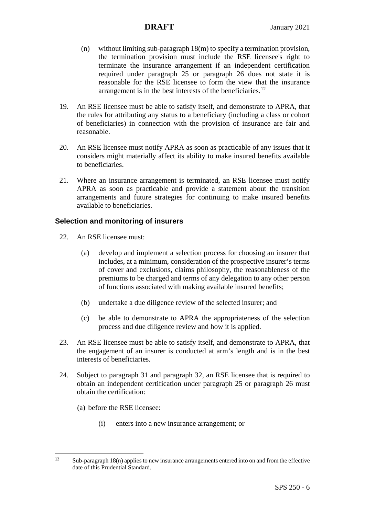- (n) without limiting sub-paragraph 18(m) to specify a termination provision, the termination provision must include the RSE licensee's right to terminate the insurance arrangement if an independent certification required under paragraph 25 or paragraph 26 does not state it is reasonable for the RSE licensee to form the view that the insurance arrangement is in the best interests of the beneficiaries.<sup>[12](#page-5-0)</sup>
- 19. An RSE licensee must be able to satisfy itself, and demonstrate to APRA, that the rules for attributing any status to a beneficiary (including a class or cohort of beneficiaries) in connection with the provision of insurance are fair and reasonable.
- 20. An RSE licensee must notify APRA as soon as practicable of any issues that it considers might materially affect its ability to make insured benefits available to beneficiaries.
- 21. Where an insurance arrangement is terminated, an RSE licensee must notify APRA as soon as practicable and provide a statement about the transition arrangements and future strategies for continuing to make insured benefits available to beneficiaries.

## **Selection and monitoring of insurers**

- 22. An RSE licensee must:
	- (a) develop and implement a selection process for choosing an insurer that includes, at a minimum, consideration of the prospective insurer's terms of cover and exclusions, claims philosophy, the reasonableness of the premiums to be charged and terms of any delegation to any other person of functions associated with making available insured benefits;
	- (b) undertake a due diligence review of the selected insurer; and
	- (c) be able to demonstrate to APRA the appropriateness of the selection process and due diligence review and how it is applied.
- 23. An RSE licensee must be able to satisfy itself, and demonstrate to APRA, that the engagement of an insurer is conducted at arm's length and is in the best interests of beneficiaries.
- 24. Subject to paragraph 31 and paragraph 32, an RSE licensee that is required to obtain an independent certification under paragraph 25 or paragraph 26 must obtain the certification:
	- (a) before the RSE licensee:
		- (i) enters into a new insurance arrangement; or

<span id="page-5-0"></span> $12$  $Sub-paramgen$  18(n) applies to new insurance arrangements entered into on and from the effective date of this Prudential Standard.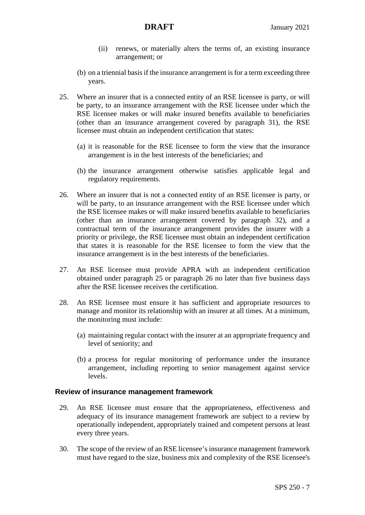- (ii) renews, or materially alters the terms of, an existing insurance arrangement; or
- (b) on a triennial basis if the insurance arrangement is for a term exceeding three years.
- 25. Where an insurer that is a connected entity of an RSE licensee is party, or will be party, to an insurance arrangement with the RSE licensee under which the RSE licensee makes or will make insured benefits available to beneficiaries (other than an insurance arrangement covered by paragraph 31), the RSE licensee must obtain an independent certification that states:
	- (a) it is reasonable for the RSE licensee to form the view that the insurance arrangement is in the best interests of the beneficiaries; and
	- (b) the insurance arrangement otherwise satisfies applicable legal and regulatory requirements.
- 26. Where an insurer that is not a connected entity of an RSE licensee is party, or will be party, to an insurance arrangement with the RSE licensee under which the RSE licensee makes or will make insured benefits available to beneficiaries (other than an insurance arrangement covered by paragraph 32), and a contractual term of the insurance arrangement provides the insurer with a priority or privilege, the RSE licensee must obtain an independent certification that states it is reasonable for the RSE licensee to form the view that the insurance arrangement is in the best interests of the beneficiaries.
- 27. An RSE licensee must provide APRA with an independent certification obtained under paragraph 25 or paragraph 26 no later than five business days after the RSE licensee receives the certification.
- 28. An RSE licensee must ensure it has sufficient and appropriate resources to manage and monitor its relationship with an insurer at all times. At a minimum, the monitoring must include:
	- (a) maintaining regular contact with the insurer at an appropriate frequency and level of seniority; and
	- (b) a process for regular monitoring of performance under the insurance arrangement, including reporting to senior management against service levels.

### **Review of insurance management framework**

- 29. An RSE licensee must ensure that the appropriateness, effectiveness and adequacy of its insurance management framework are subject to a review by operationally independent, appropriately trained and competent persons at least every three years.
- 30. The scope of the review of an RSE licensee's insurance management framework must have regard to the size, business mix and complexity of the RSE licensee's